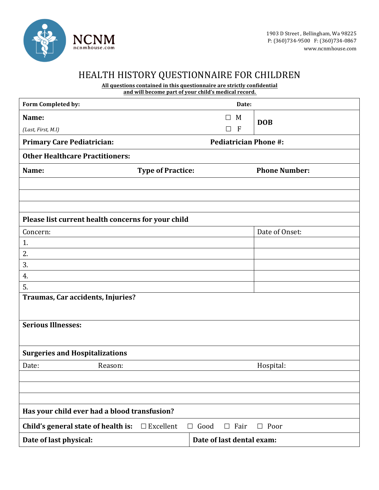

## HEALTH HISTORY QUESTIONNAIRE FOR CHILDREN

**All questions contained in this questionnaire are strictly confidential**

|                                                    | <u>Ail questions containeu in tins questionnan e are strictly connuential</u><br>and will become part of your child's medical record. |           |                              |                      |
|----------------------------------------------------|---------------------------------------------------------------------------------------------------------------------------------------|-----------|------------------------------|----------------------|
| Form Completed by:                                 |                                                                                                                                       |           | Date:                        |                      |
| Name:                                              |                                                                                                                                       |           | M<br>$\Box$                  | <b>DOB</b>           |
| (Last, First, M.I)                                 |                                                                                                                                       |           | - F<br>П                     |                      |
| <b>Primary Care Pediatrician:</b>                  |                                                                                                                                       |           | <b>Pediatrician Phone #:</b> |                      |
| <b>Other Healthcare Practitioners:</b>             |                                                                                                                                       |           |                              |                      |
| Name:                                              | <b>Type of Practice:</b>                                                                                                              |           |                              | <b>Phone Number:</b> |
|                                                    |                                                                                                                                       |           |                              |                      |
| Please list current health concerns for your child |                                                                                                                                       |           |                              |                      |
| Concern:                                           |                                                                                                                                       |           |                              | Date of Onset:       |
| 1.                                                 |                                                                                                                                       |           |                              |                      |
|                                                    |                                                                                                                                       |           |                              |                      |
| $\frac{2}{\cdot}$<br>3.                            |                                                                                                                                       |           |                              |                      |
| 4.                                                 |                                                                                                                                       |           |                              |                      |
| 5.                                                 |                                                                                                                                       |           |                              |                      |
| Traumas, Car accidents, Injuries?                  |                                                                                                                                       |           |                              |                      |
| <b>Serious Illnesses:</b>                          |                                                                                                                                       |           |                              |                      |
| <b>Surgeries and Hospitalizations</b>              |                                                                                                                                       |           |                              |                      |
| Date:<br>Reason:                                   |                                                                                                                                       |           |                              | Hospital:            |
|                                                    |                                                                                                                                       |           |                              |                      |
|                                                    |                                                                                                                                       |           |                              |                      |
|                                                    |                                                                                                                                       |           |                              |                      |
| Has your child ever had a blood transfusion?       |                                                                                                                                       |           |                              |                      |
| Child's general state of health is:                | $\Box$ Excellent                                                                                                                      | Good<br>Ш | Fair<br>$\Box$               | $\Box$ Poor          |
| Date of last physical:                             |                                                                                                                                       |           | Date of last dental exam:    |                      |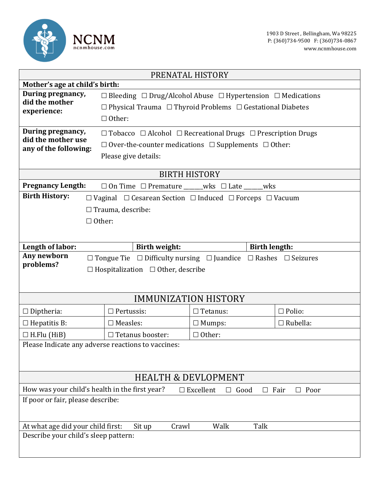

| PRENATAL HISTORY                                                                                                         |                                                                                           |                             |                 |  |  |
|--------------------------------------------------------------------------------------------------------------------------|-------------------------------------------------------------------------------------------|-----------------------------|-----------------|--|--|
| Mother's age at child's birth:                                                                                           |                                                                                           |                             |                 |  |  |
| During pregnancy,<br>did the mother                                                                                      | $\Box$ Bleeding $\Box$ Drug/Alcohol Abuse $\Box$ Hypertension $\Box$ Medications          |                             |                 |  |  |
| experience:                                                                                                              | $\Box$ Physical Trauma $\Box$ Thyroid Problems $\Box$ Gestational Diabetes                |                             |                 |  |  |
|                                                                                                                          | $\Box$ Other:                                                                             |                             |                 |  |  |
| During pregnancy,                                                                                                        | $\Box$ Tobacco $\Box$ Alcohol $\Box$ Recreational Drugs $\Box$ Prescription Drugs         |                             |                 |  |  |
| did the mother use<br>any of the following:                                                                              | $\Box$ Over-the-counter medications $\Box$ Supplements $\Box$ Other:                      |                             |                 |  |  |
|                                                                                                                          | Please give details:                                                                      |                             |                 |  |  |
|                                                                                                                          |                                                                                           | <b>BIRTH HISTORY</b>        |                 |  |  |
| <b>Pregnancy Length:</b>                                                                                                 | $\Box$ On Time $\Box$ Premature ______wks $\Box$ Late _____wks                            |                             |                 |  |  |
| <b>Birth History:</b>                                                                                                    | $\Box$ Vaginal $\Box$ Cesarean Section $\Box$ Induced $\Box$ Forceps $\Box$ Vacuum        |                             |                 |  |  |
|                                                                                                                          | $\Box$ Trauma, describe:                                                                  |                             |                 |  |  |
|                                                                                                                          | $\Box$ Other:                                                                             |                             |                 |  |  |
|                                                                                                                          |                                                                                           |                             |                 |  |  |
|                                                                                                                          |                                                                                           |                             |                 |  |  |
| Length of labor:                                                                                                         | <b>Birth weight:</b>                                                                      | <b>Birth length:</b>        |                 |  |  |
| Any newborn<br>problems?                                                                                                 | $\Box$ Tongue Tie $\Box$ Difficulty nursing $\Box$ Juandice $\Box$ Rashes $\Box$ Seizures |                             |                 |  |  |
|                                                                                                                          | $\Box$ Hospitalization $\Box$ Other, describe                                             |                             |                 |  |  |
|                                                                                                                          |                                                                                           |                             |                 |  |  |
|                                                                                                                          |                                                                                           | <b>IMMUNIZATION HISTORY</b> |                 |  |  |
| $\Box$ Diptheria:                                                                                                        | $\Box$ Pertussis:                                                                         | $\Box$ Tetanus:             | $\Box$ Polio:   |  |  |
| $\Box$ Hepatitis B:                                                                                                      | $\square$ Measles:                                                                        | $\Box$ Mumps:               | $\Box$ Rubella: |  |  |
| $\Box$ H.Flu (HiB)                                                                                                       | $\Box$ Tetanus booster:<br>$\Box$ Other:                                                  |                             |                 |  |  |
| Please Indicate any adverse reactions to vaccines:                                                                       |                                                                                           |                             |                 |  |  |
|                                                                                                                          |                                                                                           |                             |                 |  |  |
|                                                                                                                          |                                                                                           |                             |                 |  |  |
| <b>HEALTH &amp; DEVLOPMENT</b>                                                                                           |                                                                                           |                             |                 |  |  |
| How was your child's health in the first year?<br>$\Box$ Excellent<br>Good<br>Fair<br>Poor<br>$\Box$<br>$\Box$<br>$\Box$ |                                                                                           |                             |                 |  |  |
| If poor or fair, please describe:                                                                                        |                                                                                           |                             |                 |  |  |
|                                                                                                                          |                                                                                           |                             |                 |  |  |
| At what age did your child first:                                                                                        | Sit up<br>Crawl                                                                           | Walk<br>Talk                |                 |  |  |
| Describe your child's sleep pattern:                                                                                     |                                                                                           |                             |                 |  |  |
|                                                                                                                          |                                                                                           |                             |                 |  |  |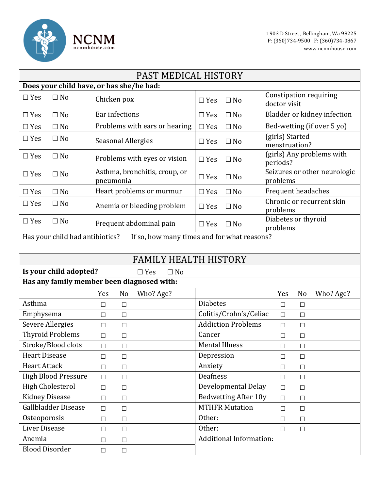

| PAST MEDICAL HISTORY                                                           |        |                                            |                       |                                |                                               |        |           |
|--------------------------------------------------------------------------------|--------|--------------------------------------------|-----------------------|--------------------------------|-----------------------------------------------|--------|-----------|
| Does your child have, or has she/he had:                                       |        |                                            |                       |                                |                                               |        |           |
| $\Box$ Yes<br>$\Box$ No                                                        |        | Chicken pox                                |                       | $\Box$ No                      | <b>Constipation requiring</b><br>doctor visit |        |           |
| $\Box$ Yes<br>$\Box$ No                                                        |        | Ear infections                             |                       | $\Box$ No                      | Bladder or kidney infection                   |        |           |
| $\Box$ Yes<br>$\Box$ No                                                        |        | Problems with ears or hearing              |                       | $\Box$ No                      | Bed-wetting (if over 5 yo)                    |        |           |
| $\Box$ Yes<br>$\Box$ No                                                        |        | <b>Seasonal Allergies</b>                  |                       | $\Box$ No                      | (girls) Started<br>menstruation?              |        |           |
| $\Box$ No<br>$\Box$ Yes                                                        |        | Problems with eyes or vision               |                       | $\Box$ No                      | (girls) Any problems with<br>periods?         |        |           |
| $\Box$ Yes<br>$\Box$ No                                                        |        | Asthma, bronchitis, croup, or<br>pneumonia |                       | $\Box$ No                      | Seizures or other neurologic<br>problems      |        |           |
| $\Box$ Yes<br>$\Box$ No                                                        |        | Heart problems or murmur                   | $\Box$ Yes            | $\Box$ No                      | Frequent headaches                            |        |           |
| $\Box$ Yes<br>$\Box$ No                                                        |        | Anemia or bleeding problem                 | $\Box$ Yes            | $\Box$ No                      | Chronic or recurrent skin<br>problems         |        |           |
| $\Box$ Yes<br>$\Box$ No                                                        |        | Frequent abdominal pain                    | $\Box$ Yes            | $\Box$ No                      | Diabetes or thyroid<br>problems               |        |           |
| Has your child had antibiotics?<br>If so, how many times and for what reasons? |        |                                            |                       |                                |                                               |        |           |
|                                                                                |        | <b>FAMILY HEALTH HISTORY</b>               |                       |                                |                                               |        |           |
| Is your child adopted?                                                         |        | $\Box$ Yes<br>$\Box$ No                    |                       |                                |                                               |        |           |
| Has any family member been diagnosed with:                                     |        |                                            |                       |                                |                                               |        |           |
|                                                                                | Yes    | Who? Age?<br>No                            |                       |                                | Yes                                           | No     |           |
| Asthma                                                                         |        |                                            |                       |                                |                                               |        | Who? Age? |
|                                                                                | $\Box$ | $\Box$                                     | <b>Diabetes</b>       |                                | $\Box$                                        | $\Box$ |           |
| Emphysema                                                                      | $\Box$ | $\Box$                                     |                       | Colitis/Crohn's/Celiac         | $\Box$                                        | $\Box$ |           |
| <b>Severe Allergies</b>                                                        | $\Box$ | $\Box$                                     |                       | <b>Addiction Problems</b>      | $\Box$                                        | $\Box$ |           |
| <b>Thyroid Problems</b>                                                        | $\Box$ | $\Box$                                     | Cancer                |                                | $\Box$                                        | $\Box$ |           |
| Stroke/Blood clots                                                             | $\Box$ | $\Box$                                     | <b>Mental Illness</b> |                                | $\Box$                                        | $\Box$ |           |
| <b>Heart Disease</b>                                                           | $\Box$ | $\Box$                                     | Depression            |                                | $\Box$                                        | $\Box$ |           |
| <b>Heart Attack</b>                                                            | $\Box$ | $\Box$                                     | Anxiety               |                                | $\Box$                                        | $\Box$ |           |
| <b>High Blood Pressure</b>                                                     | $\Box$ | $\Box$                                     | <b>Deafness</b>       |                                | $\Box$                                        | $\Box$ |           |
| <b>High Cholesterol</b>                                                        | $\Box$ | $\Box$                                     |                       | Developmental Delay            | $\Box$                                        | $\Box$ |           |
| <b>Kidney Disease</b>                                                          | $\Box$ | $\Box$                                     |                       | <b>Bedwetting After 10y</b>    | $\Box$                                        | $\Box$ |           |
| Gallbladder Disease                                                            | $\Box$ | $\Box$                                     |                       | <b>MTHFR Mutation</b>          | $\Box$                                        | $\Box$ |           |
| Osteoporosis                                                                   | $\Box$ | $\Box$                                     | Other:                |                                | $\Box$                                        | $\Box$ |           |
| Liver Disease                                                                  | $\Box$ | $\Box$                                     | Other:                |                                | $\Box$                                        | $\Box$ |           |
| Anemia                                                                         | $\Box$ | $\Box$                                     |                       | <b>Additional Information:</b> |                                               |        |           |